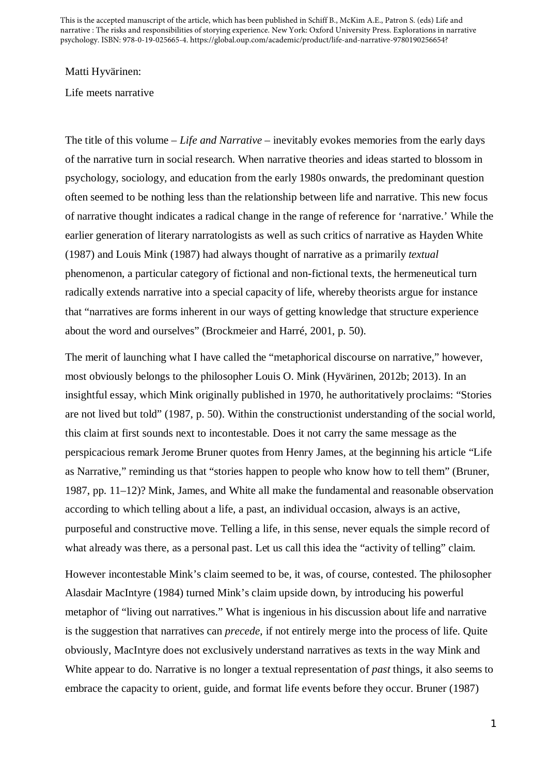This is the accepted manuscript of the article, which has been published in Schiff B., McKim A.E., Patron S. (eds) Life and narrative : The risks and responsibilities of storying experience. New York: Oxford University Press. Explorations in narrative psychology. ISBN: 978-0-19-025665-4. https://global.oup.com/academic/product/life-and-narrative-9780190256654?

#### Matti Hyvärinen:

### Life meets narrative

The title of this volume – *Life and Narrative* – inevitably evokes memories from the early days of the narrative turn in social research. When narrative theories and ideas started to blossom in psychology, sociology, and education from the early 1980s onwards, the predominant question often seemed to be nothing less than the relationship between life and narrative. This new focus of narrative thought indicates a radical change in the range of reference for 'narrative.' While the earlier generation of literary narratologists as well as such critics of narrative as Hayden White (1987) and Louis Mink (1987) had always thought of narrative as a primarily *textual* phenomenon, a particular category of fictional and non-fictional texts, the hermeneutical turn radically extends narrative into a special capacity of life, whereby theorists argue for instance that "narratives are forms inherent in our ways of getting knowledge that structure experience about the word and ourselves" (Brockmeier and Harré, 2001, p. 50).

The merit of launching what I have called the "metaphorical discourse on narrative," however, most obviously belongs to the philosopher Louis O. Mink (Hyvärinen, 2012b; 2013). In an insightful essay, which Mink originally published in 1970, he authoritatively proclaims: "Stories are not lived but told" (1987, p. 50). Within the constructionist understanding of the social world, this claim at first sounds next to incontestable. Does it not carry the same message as the perspicacious remark Jerome Bruner quotes from Henry James, at the beginning his article "Life as Narrative," reminding us that "stories happen to people who know how to tell them" (Bruner, 1987, pp. 11–12)? Mink, James, and White all make the fundamental and reasonable observation according to which telling about a life, a past, an individual occasion, always is an active, purposeful and constructive move. Telling a life, in this sense, never equals the simple record of what already was there, as a personal past. Let us call this idea the "activity of telling" claim.

However incontestable Mink's claim seemed to be, it was, of course, contested. The philosopher Alasdair MacIntyre (1984) turned Mink's claim upside down, by introducing his powerful metaphor of "living out narratives." What is ingenious in his discussion about life and narrative is the suggestion that narratives can *precede*, if not entirely merge into the process of life. Quite obviously, MacIntyre does not exclusively understand narratives as texts in the way Mink and White appear to do. Narrative is no longer a textual representation of *past* things, it also seems to embrace the capacity to orient, guide, and format life events before they occur. Bruner (1987)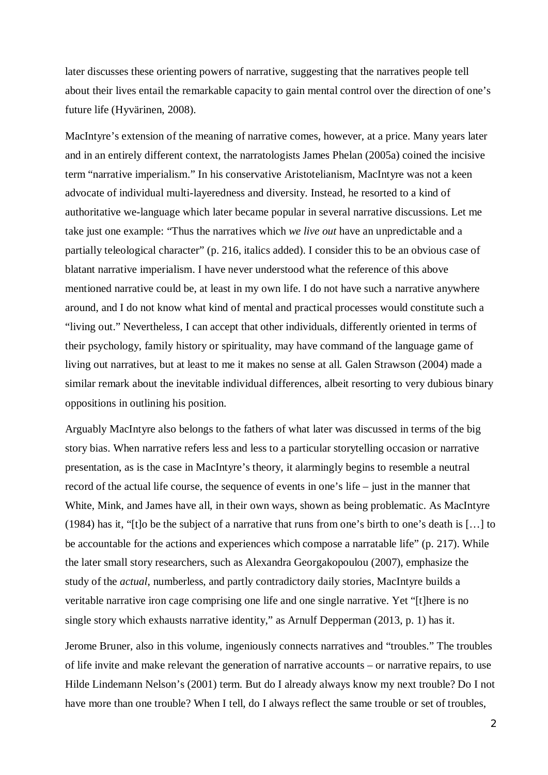later discusses these orienting powers of narrative, suggesting that the narratives people tell about their lives entail the remarkable capacity to gain mental control over the direction of one's future life (Hyvärinen, 2008).

MacIntyre's extension of the meaning of narrative comes, however, at a price. Many years later and in an entirely different context, the narratologists James Phelan (2005a) coined the incisive term "narrative imperialism." In his conservative Aristotelianism, MacIntyre was not a keen advocate of individual multi-layeredness and diversity. Instead, he resorted to a kind of authoritative we-language which later became popular in several narrative discussions. Let me take just one example: "Thus the narratives which *we live out* have an unpredictable and a partially teleological character" (p. 216, italics added). I consider this to be an obvious case of blatant narrative imperialism. I have never understood what the reference of this above mentioned narrative could be, at least in my own life. I do not have such a narrative anywhere around, and I do not know what kind of mental and practical processes would constitute such a "living out." Nevertheless, I can accept that other individuals, differently oriented in terms of their psychology, family history or spirituality, may have command of the language game of living out narratives, but at least to me it makes no sense at all. Galen Strawson (2004) made a similar remark about the inevitable individual differences, albeit resorting to very dubious binary oppositions in outlining his position.

Arguably MacIntyre also belongs to the fathers of what later was discussed in terms of the big story bias. When narrative refers less and less to a particular storytelling occasion or narrative presentation, as is the case in MacIntyre's theory, it alarmingly begins to resemble a neutral record of the actual life course, the sequence of events in one's life – just in the manner that White, Mink, and James have all, in their own ways, shown as being problematic. As MacIntyre (1984) has it, "[t]o be the subject of a narrative that runs from one's birth to one's death is […] to be accountable for the actions and experiences which compose a narratable life" (p. 217). While the later small story researchers, such as Alexandra Georgakopoulou (2007), emphasize the study of the *actual*, numberless, and partly contradictory daily stories, MacIntyre builds a veritable narrative iron cage comprising one life and one single narrative. Yet "[t]here is no single story which exhausts narrative identity," as Arnulf Depperman (2013, p. 1) has it.

Jerome Bruner, also in this volume, ingeniously connects narratives and "troubles." The troubles of life invite and make relevant the generation of narrative accounts – or narrative repairs, to use Hilde Lindemann Nelson's (2001) term. But do I already always know my next trouble? Do I not have more than one trouble? When I tell, do I always reflect the same trouble or set of troubles,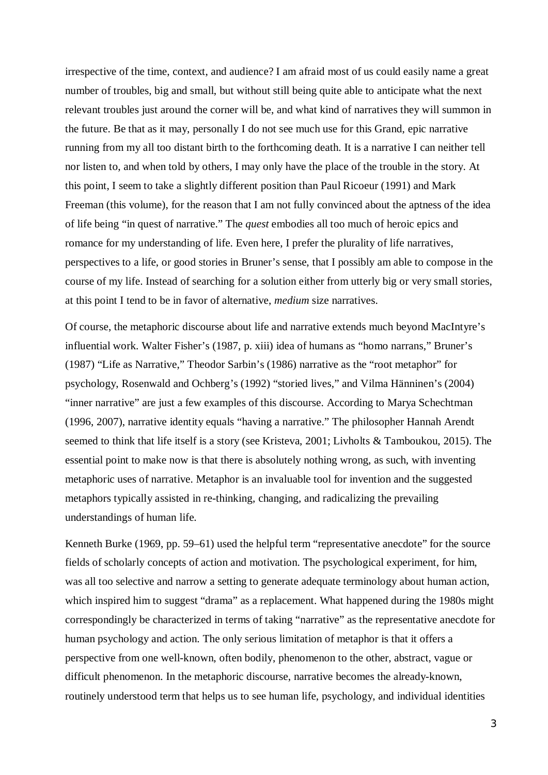irrespective of the time, context, and audience? I am afraid most of us could easily name a great number of troubles, big and small, but without still being quite able to anticipate what the next relevant troubles just around the corner will be, and what kind of narratives they will summon in the future. Be that as it may, personally I do not see much use for this Grand, epic narrative running from my all too distant birth to the forthcoming death. It is a narrative I can neither tell nor listen to, and when told by others, I may only have the place of the trouble in the story. At this point, I seem to take a slightly different position than Paul Ricoeur (1991) and Mark Freeman (this volume), for the reason that I am not fully convinced about the aptness of the idea of life being "in quest of narrative." The *quest* embodies all too much of heroic epics and romance for my understanding of life. Even here, I prefer the plurality of life narratives, perspectives to a life, or good stories in Bruner's sense, that I possibly am able to compose in the course of my life. Instead of searching for a solution either from utterly big or very small stories, at this point I tend to be in favor of alternative, *medium* size narratives.

Of course, the metaphoric discourse about life and narrative extends much beyond MacIntyre's influential work. Walter Fisher's (1987, p. xiii) idea of humans as "homo narrans," Bruner's (1987) "Life as Narrative," Theodor Sarbin's (1986) narrative as the "root metaphor" for psychology, Rosenwald and Ochberg's (1992) "storied lives," and Vilma Hänninen's (2004) "inner narrative" are just a few examples of this discourse. According to Marya Schechtman (1996, 2007), narrative identity equals "having a narrative." The philosopher Hannah Arendt seemed to think that life itself is a story (see Kristeva, 2001; Livholts & Tamboukou, 2015). The essential point to make now is that there is absolutely nothing wrong, as such, with inventing metaphoric uses of narrative. Metaphor is an invaluable tool for invention and the suggested metaphors typically assisted in re-thinking, changing, and radicalizing the prevailing understandings of human life.

Kenneth Burke (1969, pp. 59–61) used the helpful term "representative anecdote" for the source fields of scholarly concepts of action and motivation. The psychological experiment, for him, was all too selective and narrow a setting to generate adequate terminology about human action, which inspired him to suggest "drama" as a replacement. What happened during the 1980s might correspondingly be characterized in terms of taking "narrative" as the representative anecdote for human psychology and action. The only serious limitation of metaphor is that it offers a perspective from one well-known, often bodily, phenomenon to the other, abstract, vague or difficult phenomenon. In the metaphoric discourse, narrative becomes the already-known, routinely understood term that helps us to see human life, psychology, and individual identities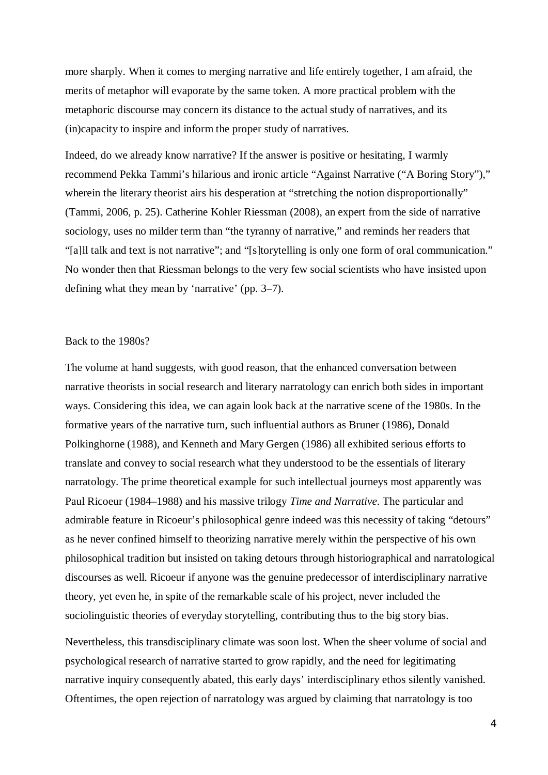more sharply. When it comes to merging narrative and life entirely together, I am afraid, the merits of metaphor will evaporate by the same token. A more practical problem with the metaphoric discourse may concern its distance to the actual study of narratives, and its (in)capacity to inspire and inform the proper study of narratives.

Indeed, do we already know narrative? If the answer is positive or hesitating, I warmly recommend Pekka Tammi's hilarious and ironic article "Against Narrative ("A Boring Story")," wherein the literary theorist airs his desperation at "stretching the notion disproportionally" (Tammi, 2006, p. 25). Catherine Kohler Riessman (2008), an expert from the side of narrative sociology, uses no milder term than "the tyranny of narrative," and reminds her readers that "[a]ll talk and text is not narrative"; and "[s]torytelling is only one form of oral communication." No wonder then that Riessman belongs to the very few social scientists who have insisted upon defining what they mean by 'narrative' (pp. 3–7).

## Back to the 1980s?

The volume at hand suggests, with good reason, that the enhanced conversation between narrative theorists in social research and literary narratology can enrich both sides in important ways. Considering this idea, we can again look back at the narrative scene of the 1980s. In the formative years of the narrative turn, such influential authors as Bruner (1986), Donald Polkinghorne (1988), and Kenneth and Mary Gergen (1986) all exhibited serious efforts to translate and convey to social research what they understood to be the essentials of literary narratology. The prime theoretical example for such intellectual journeys most apparently was Paul Ricoeur (1984–1988) and his massive trilogy *Time and Narrative*. The particular and admirable feature in Ricoeur's philosophical genre indeed was this necessity of taking "detours" as he never confined himself to theorizing narrative merely within the perspective of his own philosophical tradition but insisted on taking detours through historiographical and narratological discourses as well. Ricoeur if anyone was the genuine predecessor of interdisciplinary narrative theory, yet even he, in spite of the remarkable scale of his project, never included the sociolinguistic theories of everyday storytelling, contributing thus to the big story bias.

Nevertheless, this transdisciplinary climate was soon lost. When the sheer volume of social and psychological research of narrative started to grow rapidly, and the need for legitimating narrative inquiry consequently abated, this early days' interdisciplinary ethos silently vanished. Oftentimes, the open rejection of narratology was argued by claiming that narratology is too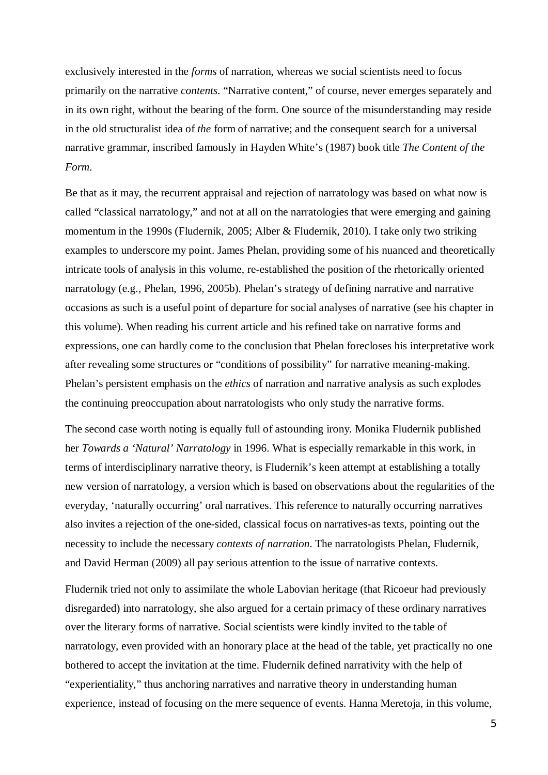exclusively interested in the *forms* of narration, whereas we social scientists need to focus primarily on the narrative *contents*. "Narrative content," of course, never emerges separately and in its own right, without the bearing of the form. One source of the misunderstanding may reside in the old structuralist idea of *the* form of narrative; and the consequent search for a universal narrative grammar, inscribed famously in Hayden White's (1987) book title *The Content of the Form*.

Be that as it may, the recurrent appraisal and rejection of narratology was based on what now is called "classical narratology," and not at all on the narratologies that were emerging and gaining momentum in the 1990s (Fludernik, 2005; Alber & Fludernik, 2010). I take only two striking examples to underscore my point. James Phelan, providing some of his nuanced and theoretically intricate tools of analysis in this volume, re-established the position of the rhetorically oriented narratology (e.g., Phelan, 1996, 2005b). Phelan's strategy of defining narrative and narrative occasions as such is a useful point of departure for social analyses of narrative (see his chapter in this volume). When reading his current article and his refined take on narrative forms and expressions, one can hardly come to the conclusion that Phelan forecloses his interpretative work after revealing some structures or "conditions of possibility" for narrative meaning-making. Phelan's persistent emphasis on the *ethics* of narration and narrative analysis as such explodes the continuing preoccupation about narratologists who only study the narrative forms.

The second case worth noting is equally full of astounding irony. Monika Fludernik published her *Towards a 'Natural' Narratology* in 1996. What is especially remarkable in this work, in terms of interdisciplinary narrative theory, is Fludernik's keen attempt at establishing a totally new version of narratology, a version which is based on observations about the regularities of the everyday, 'naturally occurring' oral narratives. This reference to naturally occurring narratives also invites a rejection of the one-sided, classical focus on narratives-as texts, pointing out the necessity to include the necessary *contexts of narration*. The narratologists Phelan, Fludernik, and David Herman (2009) all pay serious attention to the issue of narrative contexts.

Fludernik tried not only to assimilate the whole Labovian heritage (that Ricoeur had previously disregarded) into narratology, she also argued for a certain primacy of these ordinary narratives over the literary forms of narrative. Social scientists were kindly invited to the table of narratology, even provided with an honorary place at the head of the table, yet practically no one bothered to accept the invitation at the time. Fludernik defined narrativity with the help of "experientiality," thus anchoring narratives and narrative theory in understanding human experience, instead of focusing on the mere sequence of events. Hanna Meretoja, in this volume,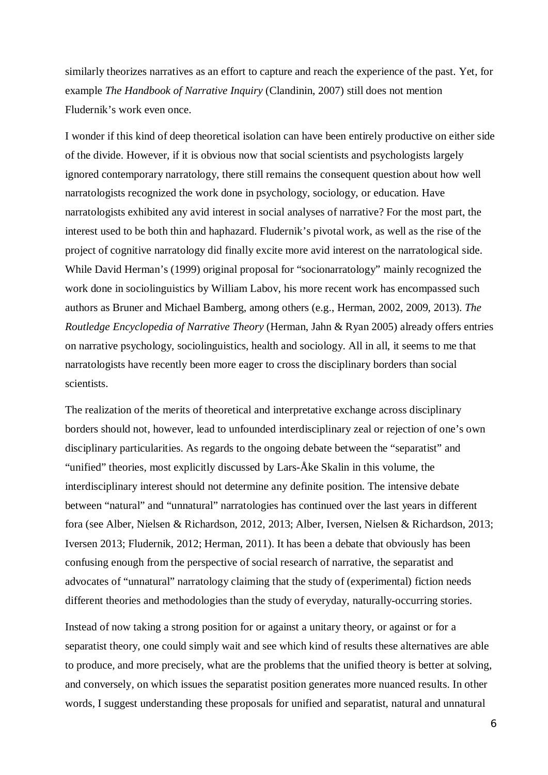similarly theorizes narratives as an effort to capture and reach the experience of the past. Yet, for example *The Handbook of Narrative Inquiry* (Clandinin, 2007) still does not mention Fludernik's work even once.

I wonder if this kind of deep theoretical isolation can have been entirely productive on either side of the divide. However, if it is obvious now that social scientists and psychologists largely ignored contemporary narratology, there still remains the consequent question about how well narratologists recognized the work done in psychology, sociology, or education. Have narratologists exhibited any avid interest in social analyses of narrative? For the most part, the interest used to be both thin and haphazard. Fludernik's pivotal work, as well as the rise of the project of cognitive narratology did finally excite more avid interest on the narratological side. While David Herman's (1999) original proposal for "socionarratology" mainly recognized the work done in sociolinguistics by William Labov, his more recent work has encompassed such authors as Bruner and Michael Bamberg, among others (e.g., Herman, 2002, 2009, 2013). *The Routledge Encyclopedia of Narrative Theory* (Herman, Jahn & Ryan 2005) already offers entries on narrative psychology, sociolinguistics, health and sociology. All in all, it seems to me that narratologists have recently been more eager to cross the disciplinary borders than social scientists.

The realization of the merits of theoretical and interpretative exchange across disciplinary borders should not, however, lead to unfounded interdisciplinary zeal or rejection of one's own disciplinary particularities. As regards to the ongoing debate between the "separatist" and "unified" theories, most explicitly discussed by Lars-Åke Skalin in this volume, the interdisciplinary interest should not determine any definite position. The intensive debate between "natural" and "unnatural" narratologies has continued over the last years in different fora (see Alber, Nielsen & Richardson, 2012, 2013; Alber, Iversen, Nielsen & Richardson, 2013; Iversen 2013; Fludernik, 2012; Herman, 2011). It has been a debate that obviously has been confusing enough from the perspective of social research of narrative, the separatist and advocates of "unnatural" narratology claiming that the study of (experimental) fiction needs different theories and methodologies than the study of everyday, naturally-occurring stories.

Instead of now taking a strong position for or against a unitary theory, or against or for a separatist theory, one could simply wait and see which kind of results these alternatives are able to produce, and more precisely, what are the problems that the unified theory is better at solving, and conversely, on which issues the separatist position generates more nuanced results. In other words, I suggest understanding these proposals for unified and separatist, natural and unnatural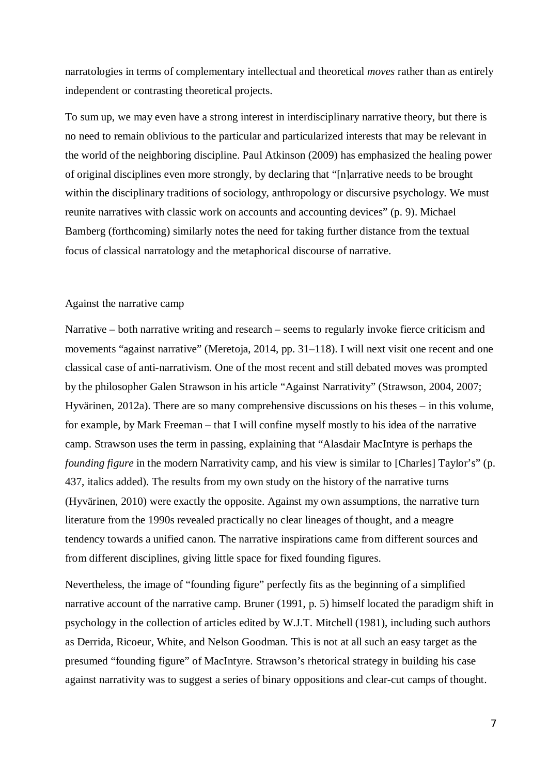narratologies in terms of complementary intellectual and theoretical *moves* rather than as entirely independent or contrasting theoretical projects.

To sum up, we may even have a strong interest in interdisciplinary narrative theory, but there is no need to remain oblivious to the particular and particularized interests that may be relevant in the world of the neighboring discipline. Paul Atkinson (2009) has emphasized the healing power of original disciplines even more strongly, by declaring that "[n]arrative needs to be brought within the disciplinary traditions of sociology, anthropology or discursive psychology. We must reunite narratives with classic work on accounts and accounting devices" (p. 9). Michael Bamberg (forthcoming) similarly notes the need for taking further distance from the textual focus of classical narratology and the metaphorical discourse of narrative.

## Against the narrative camp

Narrative – both narrative writing and research – seems to regularly invoke fierce criticism and movements "against narrative" (Meretoja, 2014, pp. 31–118). I will next visit one recent and one classical case of anti-narrativism. One of the most recent and still debated moves was prompted by the philosopher Galen Strawson in his article "Against Narrativity" (Strawson, 2004, 2007; Hyvärinen, 2012a). There are so many comprehensive discussions on his theses – in this volume, for example, by Mark Freeman – that I will confine myself mostly to his idea of the narrative camp. Strawson uses the term in passing, explaining that "Alasdair MacIntyre is perhaps the *founding figure* in the modern Narrativity camp, and his view is similar to [Charles] Taylor's" (p. 437, italics added). The results from my own study on the history of the narrative turns (Hyvärinen, 2010) were exactly the opposite. Against my own assumptions, the narrative turn literature from the 1990s revealed practically no clear lineages of thought, and a meagre tendency towards a unified canon. The narrative inspirations came from different sources and from different disciplines, giving little space for fixed founding figures.

Nevertheless, the image of "founding figure" perfectly fits as the beginning of a simplified narrative account of the narrative camp. Bruner (1991, p. 5) himself located the paradigm shift in psychology in the collection of articles edited by W.J.T. Mitchell (1981), including such authors as Derrida, Ricoeur, White, and Nelson Goodman. This is not at all such an easy target as the presumed "founding figure" of MacIntyre. Strawson's rhetorical strategy in building his case against narrativity was to suggest a series of binary oppositions and clear-cut camps of thought.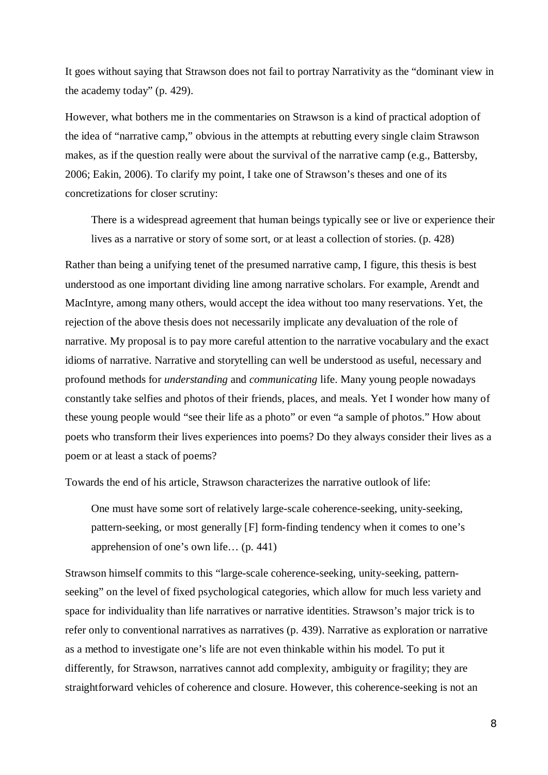It goes without saying that Strawson does not fail to portray Narrativity as the "dominant view in the academy today" (p. 429).

However, what bothers me in the commentaries on Strawson is a kind of practical adoption of the idea of "narrative camp," obvious in the attempts at rebutting every single claim Strawson makes, as if the question really were about the survival of the narrative camp (e.g., Battersby, 2006; Eakin, 2006). To clarify my point, I take one of Strawson's theses and one of its concretizations for closer scrutiny:

There is a widespread agreement that human beings typically see or live or experience their lives as a narrative or story of some sort, or at least a collection of stories. (p. 428)

Rather than being a unifying tenet of the presumed narrative camp, I figure, this thesis is best understood as one important dividing line among narrative scholars. For example, Arendt and MacIntyre, among many others, would accept the idea without too many reservations. Yet, the rejection of the above thesis does not necessarily implicate any devaluation of the role of narrative. My proposal is to pay more careful attention to the narrative vocabulary and the exact idioms of narrative. Narrative and storytelling can well be understood as useful, necessary and profound methods for *understanding* and *communicating* life. Many young people nowadays constantly take selfies and photos of their friends, places, and meals. Yet I wonder how many of these young people would "see their life as a photo" or even "a sample of photos." How about poets who transform their lives experiences into poems? Do they always consider their lives as a poem or at least a stack of poems?

Towards the end of his article, Strawson characterizes the narrative outlook of life:

One must have some sort of relatively large-scale coherence-seeking, unity-seeking, pattern-seeking, or most generally [F] form-finding tendency when it comes to one's apprehension of one's own life… (p. 441)

Strawson himself commits to this "large-scale coherence-seeking, unity-seeking, patternseeking" on the level of fixed psychological categories, which allow for much less variety and space for individuality than life narratives or narrative identities. Strawson's major trick is to refer only to conventional narratives as narratives (p. 439). Narrative as exploration or narrative as a method to investigate one's life are not even thinkable within his model. To put it differently, for Strawson, narratives cannot add complexity, ambiguity or fragility; they are straightforward vehicles of coherence and closure. However, this coherence-seeking is not an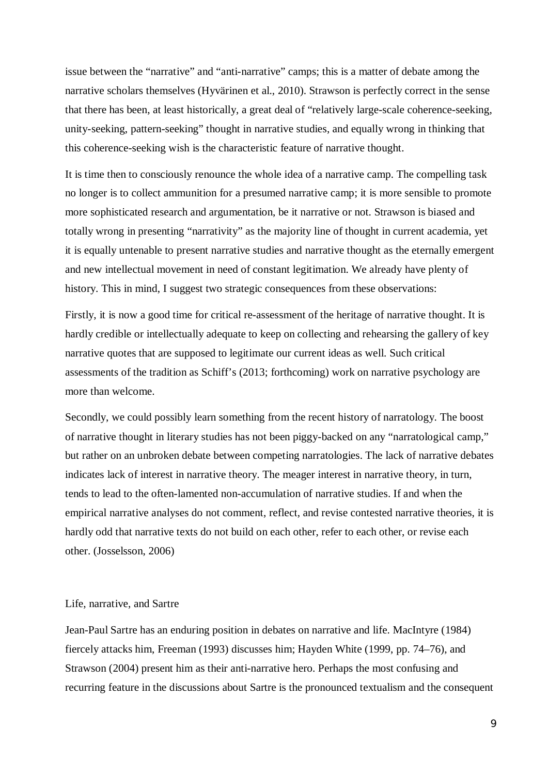issue between the "narrative" and "anti-narrative" camps; this is a matter of debate among the narrative scholars themselves (Hyvärinen et al., 2010). Strawson is perfectly correct in the sense that there has been, at least historically, a great deal of "relatively large-scale coherence-seeking, unity-seeking, pattern-seeking" thought in narrative studies, and equally wrong in thinking that this coherence-seeking wish is the characteristic feature of narrative thought.

It is time then to consciously renounce the whole idea of a narrative camp. The compelling task no longer is to collect ammunition for a presumed narrative camp; it is more sensible to promote more sophisticated research and argumentation, be it narrative or not. Strawson is biased and totally wrong in presenting "narrativity" as the majority line of thought in current academia, yet it is equally untenable to present narrative studies and narrative thought as the eternally emergent and new intellectual movement in need of constant legitimation. We already have plenty of history. This in mind, I suggest two strategic consequences from these observations:

Firstly, it is now a good time for critical re-assessment of the heritage of narrative thought. It is hardly credible or intellectually adequate to keep on collecting and rehearsing the gallery of key narrative quotes that are supposed to legitimate our current ideas as well. Such critical assessments of the tradition as Schiff's (2013; forthcoming) work on narrative psychology are more than welcome.

Secondly, we could possibly learn something from the recent history of narratology. The boost of narrative thought in literary studies has not been piggy-backed on any "narratological camp," but rather on an unbroken debate between competing narratologies. The lack of narrative debates indicates lack of interest in narrative theory. The meager interest in narrative theory, in turn, tends to lead to the often-lamented non-accumulation of narrative studies. If and when the empirical narrative analyses do not comment, reflect, and revise contested narrative theories, it is hardly odd that narrative texts do not build on each other, refer to each other, or revise each other. (Josselsson, 2006)

### Life, narrative, and Sartre

Jean-Paul Sartre has an enduring position in debates on narrative and life. MacIntyre (1984) fiercely attacks him, Freeman (1993) discusses him; Hayden White (1999, pp. 74–76), and Strawson (2004) present him as their anti-narrative hero. Perhaps the most confusing and recurring feature in the discussions about Sartre is the pronounced textualism and the consequent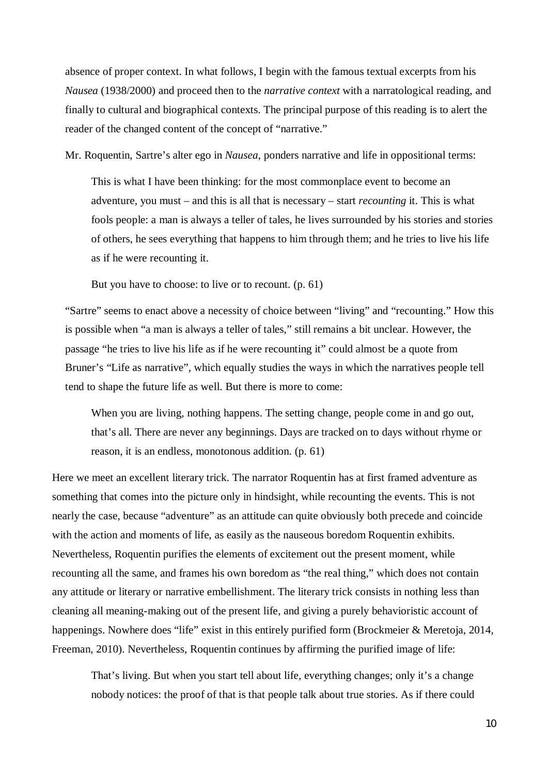absence of proper context. In what follows, I begin with the famous textual excerpts from his *Nausea* (1938/2000) and proceed then to the *narrative context* with a narratological reading, and finally to cultural and biographical contexts. The principal purpose of this reading is to alert the reader of the changed content of the concept of "narrative."

Mr. Roquentin, Sartre's alter ego in *Nausea*, ponders narrative and life in oppositional terms:

This is what I have been thinking: for the most commonplace event to become an adventure, you must – and this is all that is necessary – start *recounting* it. This is what fools people: a man is always a teller of tales, he lives surrounded by his stories and stories of others, he sees everything that happens to him through them; and he tries to live his life as if he were recounting it.

But you have to choose: to live or to recount. (p. 61)

"Sartre" seems to enact above a necessity of choice between "living" and "recounting." How this is possible when "a man is always a teller of tales," still remains a bit unclear. However, the passage "he tries to live his life as if he were recounting it" could almost be a quote from Bruner's "Life as narrative", which equally studies the ways in which the narratives people tell tend to shape the future life as well. But there is more to come:

When you are living, nothing happens. The setting change, people come in and go out, that's all. There are never any beginnings. Days are tracked on to days without rhyme or reason, it is an endless, monotonous addition. (p. 61)

Here we meet an excellent literary trick. The narrator Roquentin has at first framed adventure as something that comes into the picture only in hindsight, while recounting the events. This is not nearly the case, because "adventure" as an attitude can quite obviously both precede and coincide with the action and moments of life, as easily as the nauseous boredom Roquentin exhibits. Nevertheless, Roquentin purifies the elements of excitement out the present moment, while recounting all the same, and frames his own boredom as "the real thing," which does not contain any attitude or literary or narrative embellishment. The literary trick consists in nothing less than cleaning all meaning-making out of the present life, and giving a purely behavioristic account of happenings. Nowhere does "life" exist in this entirely purified form (Brockmeier & Meretoja, 2014, Freeman, 2010). Nevertheless, Roquentin continues by affirming the purified image of life:

That's living. But when you start tell about life, everything changes; only it's a change nobody notices: the proof of that is that people talk about true stories. As if there could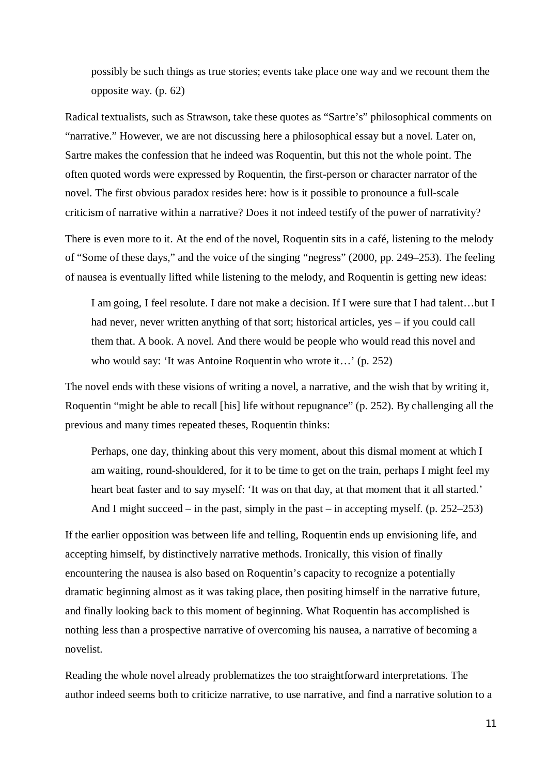possibly be such things as true stories; events take place one way and we recount them the opposite way. (p. 62)

Radical textualists, such as Strawson, take these quotes as "Sartre's" philosophical comments on "narrative." However, we are not discussing here a philosophical essay but a novel. Later on, Sartre makes the confession that he indeed was Roquentin, but this not the whole point. The often quoted words were expressed by Roquentin, the first-person or character narrator of the novel. The first obvious paradox resides here: how is it possible to pronounce a full-scale criticism of narrative within a narrative? Does it not indeed testify of the power of narrativity?

There is even more to it. At the end of the novel, Roquentin sits in a café, listening to the melody of "Some of these days," and the voice of the singing "negress" (2000, pp. 249–253). The feeling of nausea is eventually lifted while listening to the melody, and Roquentin is getting new ideas:

I am going, I feel resolute. I dare not make a decision. If I were sure that I had talent…but I had never, never written anything of that sort; historical articles, yes – if you could call them that. A book. A novel. And there would be people who would read this novel and who would say: 'It was Antoine Roquentin who wrote it…' (p. 252)

The novel ends with these visions of writing a novel, a narrative, and the wish that by writing it, Roquentin "might be able to recall [his] life without repugnance" (p. 252). By challenging all the previous and many times repeated theses, Roquentin thinks:

Perhaps, one day, thinking about this very moment, about this dismal moment at which I am waiting, round-shouldered, for it to be time to get on the train, perhaps I might feel my heart beat faster and to say myself: 'It was on that day, at that moment that it all started.' And I might succeed – in the past, simply in the past – in accepting myself. (p. 252–253)

If the earlier opposition was between life and telling, Roquentin ends up envisioning life, and accepting himself, by distinctively narrative methods. Ironically, this vision of finally encountering the nausea is also based on Roquentin's capacity to recognize a potentially dramatic beginning almost as it was taking place, then positing himself in the narrative future, and finally looking back to this moment of beginning. What Roquentin has accomplished is nothing less than a prospective narrative of overcoming his nausea, a narrative of becoming a novelist.

Reading the whole novel already problematizes the too straightforward interpretations. The author indeed seems both to criticize narrative, to use narrative, and find a narrative solution to a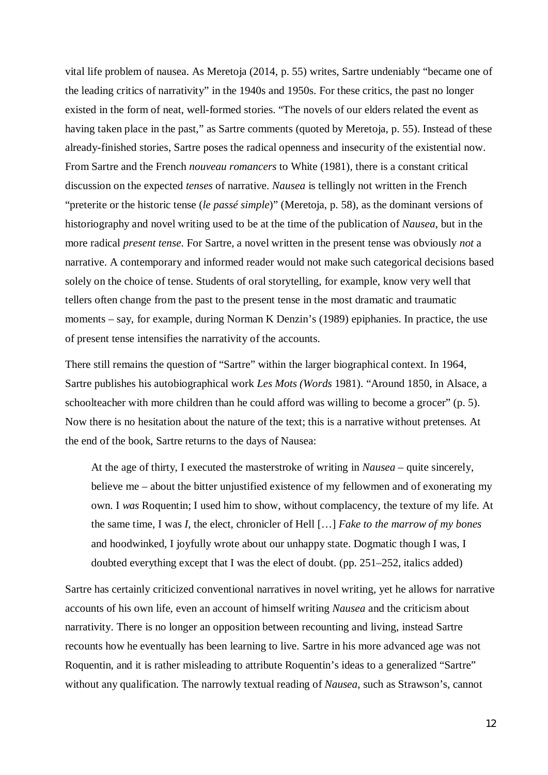vital life problem of nausea. As Meretoja (2014, p. 55) writes, Sartre undeniably "became one of the leading critics of narrativity" in the 1940s and 1950s. For these critics, the past no longer existed in the form of neat, well-formed stories. "The novels of our elders related the event as having taken place in the past," as Sartre comments (quoted by Meretoja, p. 55). Instead of these already-finished stories, Sartre poses the radical openness and insecurity of the existential now. From Sartre and the French *nouveau romancers* to White (1981), there is a constant critical discussion on the expected *tenses* of narrative. *Nausea* is tellingly not written in the French "preterite or the historic tense (*le passé simple*)" (Meretoja, p. 58), as the dominant versions of historiography and novel writing used to be at the time of the publication of *Nausea*, but in the more radical *present tense*. For Sartre, a novel written in the present tense was obviously *not* a narrative. A contemporary and informed reader would not make such categorical decisions based solely on the choice of tense. Students of oral storytelling, for example, know very well that tellers often change from the past to the present tense in the most dramatic and traumatic moments – say, for example, during Norman K Denzin's (1989) epiphanies. In practice, the use of present tense intensifies the narrativity of the accounts.

There still remains the question of "Sartre" within the larger biographical context. In 1964, Sartre publishes his autobiographical work *Les Mots (Words* 1981). "Around 1850, in Alsace, a schoolteacher with more children than he could afford was willing to become a grocer" (p. 5). Now there is no hesitation about the nature of the text; this is a narrative without pretenses. At the end of the book, Sartre returns to the days of Nausea:

At the age of thirty, I executed the masterstroke of writing in *Nausea* – quite sincerely, believe me – about the bitter unjustified existence of my fellowmen and of exonerating my own. I *was* Roquentin; I used him to show, without complacency, the texture of my life. At the same time, I was *I*, the elect, chronicler of Hell […] *Fake to the marrow of my bones* and hoodwinked, I joyfully wrote about our unhappy state. Dogmatic though I was, I doubted everything except that I was the elect of doubt. (pp. 251–252, italics added)

Sartre has certainly criticized conventional narratives in novel writing, yet he allows for narrative accounts of his own life, even an account of himself writing *Nausea* and the criticism about narrativity. There is no longer an opposition between recounting and living, instead Sartre recounts how he eventually has been learning to live. Sartre in his more advanced age was not Roquentin, and it is rather misleading to attribute Roquentin's ideas to a generalized "Sartre" without any qualification. The narrowly textual reading of *Nausea*, such as Strawson's, cannot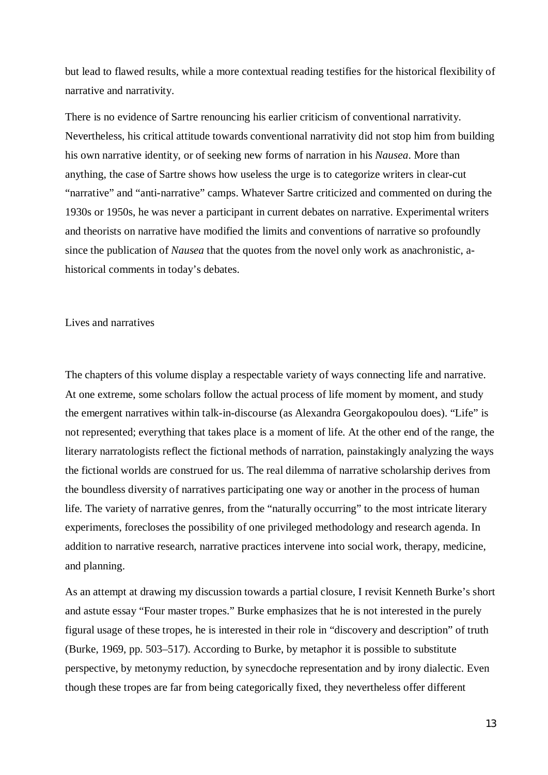but lead to flawed results, while a more contextual reading testifies for the historical flexibility of narrative and narrativity.

There is no evidence of Sartre renouncing his earlier criticism of conventional narrativity. Nevertheless, his critical attitude towards conventional narrativity did not stop him from building his own narrative identity, or of seeking new forms of narration in his *Nausea*. More than anything, the case of Sartre shows how useless the urge is to categorize writers in clear-cut "narrative" and "anti-narrative" camps. Whatever Sartre criticized and commented on during the 1930s or 1950s, he was never a participant in current debates on narrative. Experimental writers and theorists on narrative have modified the limits and conventions of narrative so profoundly since the publication of *Nausea* that the quotes from the novel only work as anachronistic, ahistorical comments in today's debates.

## Lives and narratives

The chapters of this volume display a respectable variety of ways connecting life and narrative. At one extreme, some scholars follow the actual process of life moment by moment, and study the emergent narratives within talk-in-discourse (as Alexandra Georgakopoulou does). "Life" is not represented; everything that takes place is a moment of life. At the other end of the range, the literary narratologists reflect the fictional methods of narration, painstakingly analyzing the ways the fictional worlds are construed for us. The real dilemma of narrative scholarship derives from the boundless diversity of narratives participating one way or another in the process of human life. The variety of narrative genres, from the "naturally occurring" to the most intricate literary experiments, forecloses the possibility of one privileged methodology and research agenda. In addition to narrative research, narrative practices intervene into social work, therapy, medicine, and planning.

As an attempt at drawing my discussion towards a partial closure, I revisit Kenneth Burke's short and astute essay "Four master tropes." Burke emphasizes that he is not interested in the purely figural usage of these tropes, he is interested in their role in "discovery and description" of truth (Burke, 1969, pp. 503–517). According to Burke, by metaphor it is possible to substitute perspective, by metonymy reduction, by synecdoche representation and by irony dialectic. Even though these tropes are far from being categorically fixed, they nevertheless offer different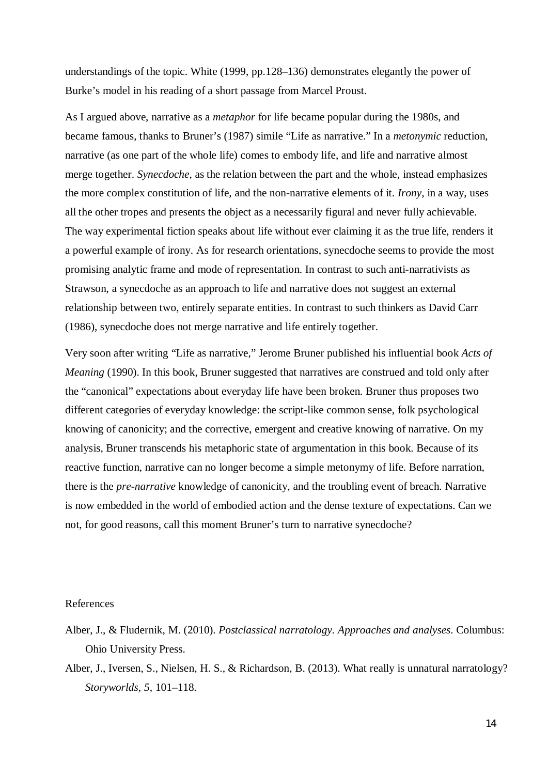understandings of the topic. White (1999, pp.128–136) demonstrates elegantly the power of Burke's model in his reading of a short passage from Marcel Proust.

As I argued above, narrative as a *metaphor* for life became popular during the 1980s, and became famous, thanks to Bruner's (1987) simile "Life as narrative." In a *metonymic* reduction, narrative (as one part of the whole life) comes to embody life, and life and narrative almost merge together. *Synecdoche,* as the relation between the part and the whole, instead emphasizes the more complex constitution of life, and the non-narrative elements of it. *Irony*, in a way, uses all the other tropes and presents the object as a necessarily figural and never fully achievable. The way experimental fiction speaks about life without ever claiming it as the true life, renders it a powerful example of irony. As for research orientations, synecdoche seems to provide the most promising analytic frame and mode of representation. In contrast to such anti-narrativists as Strawson, a synecdoche as an approach to life and narrative does not suggest an external relationship between two, entirely separate entities. In contrast to such thinkers as David Carr (1986), synecdoche does not merge narrative and life entirely together.

Very soon after writing "Life as narrative," Jerome Bruner published his influential book *Acts of Meaning* (1990). In this book, Bruner suggested that narratives are construed and told only after the "canonical" expectations about everyday life have been broken. Bruner thus proposes two different categories of everyday knowledge: the script-like common sense, folk psychological knowing of canonicity; and the corrective, emergent and creative knowing of narrative. On my analysis, Bruner transcends his metaphoric state of argumentation in this book. Because of its reactive function, narrative can no longer become a simple metonymy of life. Before narration, there is the *pre-narrative* knowledge of canonicity, and the troubling event of breach. Narrative is now embedded in the world of embodied action and the dense texture of expectations. Can we not, for good reasons, call this moment Bruner's turn to narrative synecdoche?

# References

- Alber, J., & Fludernik, M. (2010). *Postclassical narratology. Approaches and analyses*. Columbus: Ohio University Press.
- Alber, J., Iversen, S., Nielsen, H. S., & Richardson, B. (2013). What really is unnatural narratology? *Storyworlds, 5*, 101–118.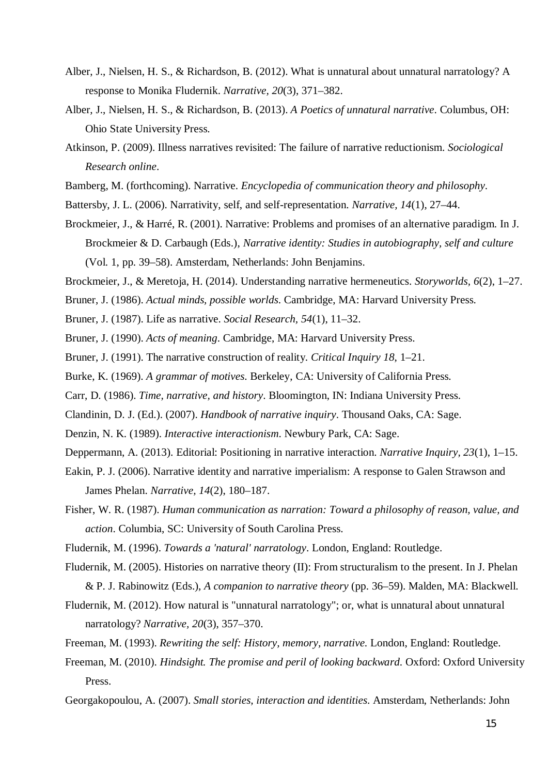- Alber, J., Nielsen, H. S., & Richardson, B. (2012). What is unnatural about unnatural narratology? A response to Monika Fludernik. *Narrative, 20*(3), 371–382.
- Alber, J., Nielsen, H. S., & Richardson, B. (2013). *A Poetics of unnatural narrative*. Columbus, OH: Ohio State University Press.
- Atkinson, P. (2009). Illness narratives revisited: The failure of narrative reductionism. *Sociological Research online*.
- Bamberg, M. (forthcoming). Narrative. *Encyclopedia of communication theory and philosophy*.
- Battersby, J. L. (2006). Narrativity, self, and self-representation. *Narrative, 14*(1), 27–44.
- Brockmeier, J., & Harré, R. (2001). Narrative: Problems and promises of an alternative paradigm. In J. Brockmeier & D. Carbaugh (Eds.), *Narrative identity: Studies in autobiography, self and culture* (Vol. 1, pp. 39–58). Amsterdam, Netherlands: John Benjamins.
- Brockmeier, J., & Meretoja, H. (2014). Understanding narrative hermeneutics. *Storyworlds, 6*(2), 1–27.
- Bruner, J. (1986). *Actual minds, possible worlds*. Cambridge, MA: Harvard University Press.
- Bruner, J. (1987). Life as narrative. *Social Research, 54*(1), 11–32.
- Bruner, J. (1990). *Acts of meaning*. Cambridge, MA: Harvard University Press.
- Bruner, J. (1991). The narrative construction of reality. *Critical Inquiry 18*, 1–21.
- Burke, K. (1969). *A grammar of motives*. Berkeley, CA: University of California Press.
- Carr, D. (1986). *Time, narrative, and history*. Bloomington, IN: Indiana University Press.
- Clandinin, D. J. (Ed.). (2007). *Handbook of narrative inquiry*. Thousand Oaks, CA: Sage.
- Denzin, N. K. (1989). *Interactive interactionism*. Newbury Park, CA: Sage.
- Deppermann, A. (2013). Editorial: Positioning in narrative interaction. *Narrative Inquiry, 23*(1), 1–15.
- Eakin, P. J. (2006). Narrative identity and narrative imperialism: A response to Galen Strawson and James Phelan. *Narrative, 14*(2), 180–187.
- Fisher, W. R. (1987). *Human communication as narration: Toward a philosophy of reason, value, and action*. Columbia, SC: University of South Carolina Press.
- Fludernik, M. (1996). *Towards a 'natural' narratology*. London, England: Routledge.
- Fludernik, M. (2005). Histories on narrative theory (II): From structuralism to the present. In J. Phelan & P. J. Rabinowitz (Eds.), *A companion to narrative theory* (pp. 36–59). Malden, MA: Blackwell.
- Fludernik, M. (2012). How natural is "unnatural narratology"; or, what is unnatural about unnatural narratology? *Narrative, 20*(3), 357–370.
- Freeman, M. (1993). *Rewriting the self: History, memory, narrative*. London, England: Routledge.
- Freeman, M. (2010). *Hindsight. The promise and peril of looking backward*. Oxford: Oxford University Press.
- Georgakopoulou, A. (2007). *Small stories, interaction and identities*. Amsterdam, Netherlands: John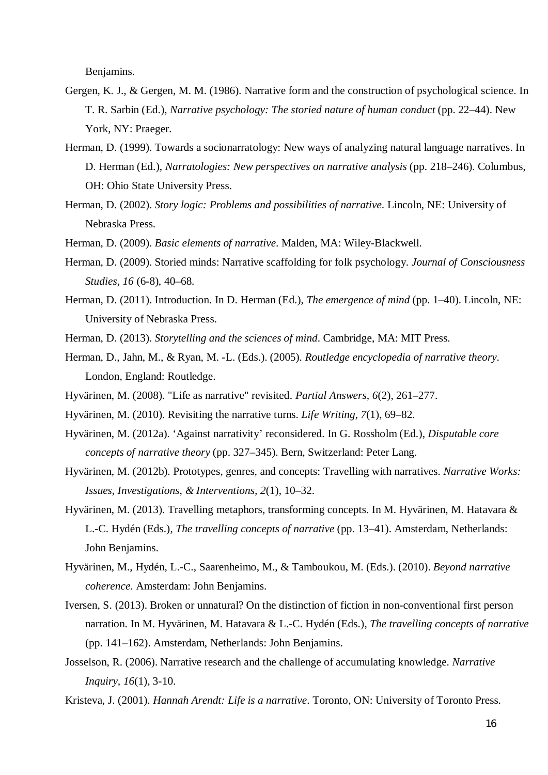Benjamins.

- Gergen, K. J., & Gergen, M. M. (1986). Narrative form and the construction of psychological science. In T. R. Sarbin (Ed.), *Narrative psychology: The storied nature of human conduct* (pp. 22–44). New York, NY: Praeger.
- Herman, D. (1999). Towards a socionarratology: New ways of analyzing natural language narratives. In D. Herman (Ed.), *Narratologies: New perspectives on narrative analysis* (pp. 218–246). Columbus, OH: Ohio State University Press.
- Herman, D. (2002). *Story logic: Problems and possibilities of narrative*. Lincoln, NE: University of Nebraska Press.
- Herman, D. (2009). *Basic elements of narrative*. Malden, MA: Wiley-Blackwell.
- Herman, D. (2009). Storied minds: Narrative scaffolding for folk psychology. *Journal of Consciousness Studies, 16* (6-8), 40–68.
- Herman, D. (2011). Introduction. In D. Herman (Ed.), *The emergence of mind* (pp. 1–40). Lincoln, NE: University of Nebraska Press.
- Herman, D. (2013). *Storytelling and the sciences of mind*. Cambridge, MA: MIT Press.
- Herman, D., Jahn, M., & Ryan, M. -L. (Eds.). (2005). *Routledge encyclopedia of narrative theory*. London, England: Routledge.
- Hyvärinen, M. (2008). "Life as narrative" revisited. *Partial Answers, 6*(2), 261–277.
- Hyvärinen, M. (2010). Revisiting the narrative turns. *Life Writing, 7*(1), 69–82.
- Hyvärinen, M. (2012a). 'Against narrativity' reconsidered. In G. Rossholm (Ed.), *Disputable core concepts of narrative theory* (pp. 327–345). Bern, Switzerland: Peter Lang.
- Hyvärinen, M. (2012b). Prototypes, genres, and concepts: Travelling with narratives. *Narrative Works: Issues, Investigations, & Interventions, 2*(1), 10–32.
- Hyvärinen, M. (2013). Travelling metaphors, transforming concepts. In M. Hyvärinen, M. Hatavara & L.-C. Hydén (Eds.), *The travelling concepts of narrative* (pp. 13–41). Amsterdam, Netherlands: John Benjamins.
- Hyvärinen, M., Hydén, L.-C., Saarenheimo, M., & Tamboukou, M. (Eds.). (2010). *Beyond narrative coherence*. Amsterdam: John Benjamins.
- Iversen, S. (2013). Broken or unnatural? On the distinction of fiction in non-conventional first person narration. In M. Hyvärinen, M. Hatavara & L.-C. Hydén (Eds.), *The travelling concepts of narrative* (pp. 141–162). Amsterdam, Netherlands: John Benjamins.
- Josselson, R. (2006). Narrative research and the challenge of accumulating knowledge. *Narrative Inquiry, 16*(1), 3-10.
- Kristeva, J. (2001). *Hannah Arendt: Life is a narrative*. Toronto, ON: University of Toronto Press.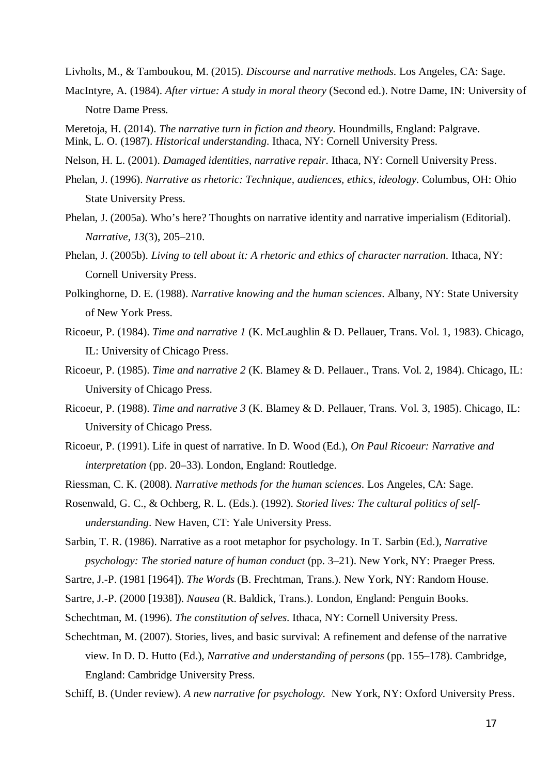Livholts, M., & Tamboukou, M. (2015). *Discourse and narrative methods*. Los Angeles, CA: Sage.

- MacIntyre, A. (1984). *After virtue: A study in moral theory* (Second ed.). Notre Dame, IN: University of Notre Dame Press.
- Meretoja, H. (2014). *The narrative turn in fiction and theory.* Houndmills, England: Palgrave. Mink, L. O. (1987). *Historical understanding*. Ithaca, NY: Cornell University Press.
- Nelson, H. L. (2001). *Damaged identities, narrative repair*. Ithaca, NY: Cornell University Press.
- Phelan, J. (1996). *Narrative as rhetoric: Technique, audiences, ethics, ideology*. Columbus, OH: Ohio State University Press.
- Phelan, J. (2005a). Who's here? Thoughts on narrative identity and narrative imperialism (Editorial). *Narrative, 13*(3), 205–210.
- Phelan, J. (2005b). *Living to tell about it: A rhetoric and ethics of character narration*. Ithaca, NY: Cornell University Press.
- Polkinghorne, D. E. (1988). *Narrative knowing and the human sciences*. Albany, NY: State University of New York Press.
- Ricoeur, P. (1984). *Time and narrative 1* (K. McLaughlin & D. Pellauer, Trans. Vol. 1, 1983). Chicago, IL: University of Chicago Press.
- Ricoeur, P. (1985). *Time and narrative 2* (K. Blamey & D. Pellauer., Trans. Vol. 2, 1984). Chicago, IL: University of Chicago Press.
- Ricoeur, P. (1988). *Time and narrative 3* (K. Blamey & D. Pellauer, Trans. Vol. 3, 1985). Chicago, IL: University of Chicago Press.
- Ricoeur, P. (1991). Life in quest of narrative. In D. Wood (Ed.), *On Paul Ricoeur: Narrative and interpretation* (pp. 20–33). London, England: Routledge.
- Riessman, C. K. (2008). *Narrative methods for the human sciences*. Los Angeles, CA: Sage.
- Rosenwald, G. C., & Ochberg, R. L. (Eds.). (1992). *Storied lives: The cultural politics of selfunderstanding*. New Haven, CT: Yale University Press.
- Sarbin, T. R. (1986). Narrative as a root metaphor for psychology. In T. Sarbin (Ed.), *Narrative psychology: The storied nature of human conduct* (pp. 3–21). New York, NY: Praeger Press.
- Sartre, J.-P. (1981 [1964]). *The Words* (B. Frechtman, Trans.). New York, NY: Random House.
- Sartre, J.-P. (2000 [1938]). *Nausea* (R. Baldick, Trans.). London, England: Penguin Books.
- Schechtman, M. (1996). *The constitution of selves*. Ithaca, NY: Cornell University Press.
- Schechtman, M. (2007). Stories, lives, and basic survival: A refinement and defense of the narrative view. In D. D. Hutto (Ed.), *Narrative and understanding of persons* (pp. 155–178). Cambridge, England: Cambridge University Press.

Schiff, B. (Under review). *A new narrative for psychology.* New York, NY: Oxford University Press.